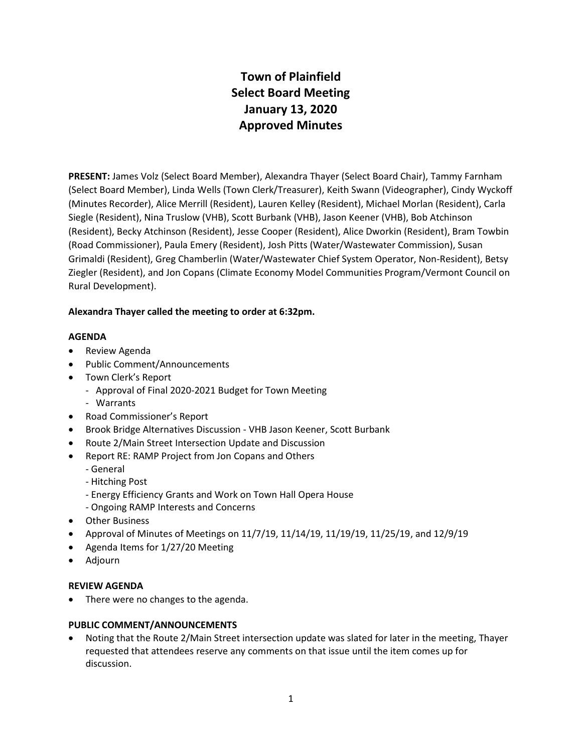# **Town of Plainfield Select Board Meeting January 13, 2020 Approved Minutes**

**PRESENT:** James Volz (Select Board Member), Alexandra Thayer (Select Board Chair), Tammy Farnham (Select Board Member), Linda Wells (Town Clerk/Treasurer), Keith Swann (Videographer), Cindy Wyckoff (Minutes Recorder), Alice Merrill (Resident), Lauren Kelley (Resident), Michael Morlan (Resident), Carla Siegle (Resident), Nina Truslow (VHB), Scott Burbank (VHB), Jason Keener (VHB), Bob Atchinson (Resident), Becky Atchinson (Resident), Jesse Cooper (Resident), Alice Dworkin (Resident), Bram Towbin (Road Commissioner), Paula Emery (Resident), Josh Pitts (Water/Wastewater Commission), Susan Grimaldi (Resident), Greg Chamberlin (Water/Wastewater Chief System Operator, Non-Resident), Betsy Ziegler (Resident), and Jon Copans (Climate Economy Model Communities Program/Vermont Council on Rural Development).

# **Alexandra Thayer called the meeting to order at 6:32pm.**

# **AGENDA**

- Review Agenda
- Public Comment/Announcements
- Town Clerk's Report
	- Approval of Final 2020-2021 Budget for Town Meeting
	- Warrants
- Road Commissioner's Report
- Brook Bridge Alternatives Discussion VHB Jason Keener, Scott Burbank
- Route 2/Main Street Intersection Update and Discussion
- Report RE: RAMP Project from Jon Copans and Others
	- General
	- Hitching Post
	- Energy Efficiency Grants and Work on Town Hall Opera House
	- Ongoing RAMP Interests and Concerns
- Other Business
- Approval of Minutes of Meetings on  $11/7/19$ ,  $11/14/19$ ,  $11/19/19$ ,  $11/25/19$ , and  $12/9/19$
- Agenda Items for 1/27/20 Meeting
- Adjourn

#### **REVIEW AGENDA**

• There were no changes to the agenda.

#### **PUBLIC COMMENT/ANNOUNCEMENTS**

 Noting that the Route 2/Main Street intersection update was slated for later in the meeting, Thayer requested that attendees reserve any comments on that issue until the item comes up for discussion.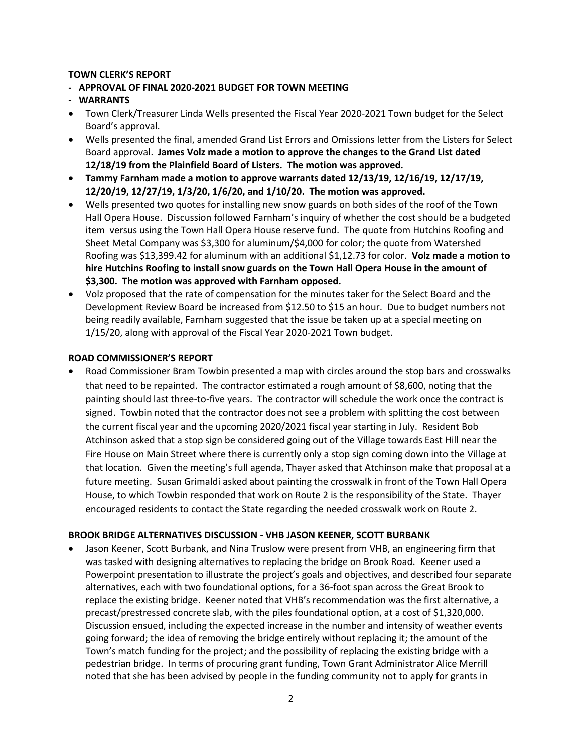#### **TOWN CLERK'S REPORT**

- **APPROVAL OF FINAL 2020-2021 BUDGET FOR TOWN MEETING**
- **WARRANTS**
- Town Clerk/Treasurer Linda Wells presented the Fiscal Year 2020-2021 Town budget for the Select Board's approval.
- Wells presented the final, amended Grand List Errors and Omissions letter from the Listers for Select Board approval. **James Volz made a motion to approve the changes to the Grand List dated 12/18/19 from the Plainfield Board of Listers. The motion was approved.**
- **Tammy Farnham made a motion to approve warrants dated 12/13/19, 12/16/19, 12/17/19, 12/20/19, 12/27/19, 1/3/20, 1/6/20, and 1/10/20. The motion was approved.**
- Wells presented two quotes for installing new snow guards on both sides of the roof of the Town Hall Opera House. Discussion followed Farnham's inquiry of whether the cost should be a budgeted item versus using the Town Hall Opera House reserve fund. The quote from Hutchins Roofing and Sheet Metal Company was \$3,300 for aluminum/\$4,000 for color; the quote from Watershed Roofing was \$13,399.42 for aluminum with an additional \$1,12.73 for color. **Volz made a motion to hire Hutchins Roofing to install snow guards on the Town Hall Opera House in the amount of \$3,300. The motion was approved with Farnham opposed.**
- Volz proposed that the rate of compensation for the minutes taker for the Select Board and the Development Review Board be increased from \$12.50 to \$15 an hour. Due to budget numbers not being readily available, Farnham suggested that the issue be taken up at a special meeting on 1/15/20, along with approval of the Fiscal Year 2020-2021 Town budget.

#### **ROAD COMMISSIONER'S REPORT**

 Road Commissioner Bram Towbin presented a map with circles around the stop bars and crosswalks that need to be repainted. The contractor estimated a rough amount of \$8,600, noting that the painting should last three-to-five years. The contractor will schedule the work once the contract is signed. Towbin noted that the contractor does not see a problem with splitting the cost between the current fiscal year and the upcoming 2020/2021 fiscal year starting in July. Resident Bob Atchinson asked that a stop sign be considered going out of the Village towards East Hill near the Fire House on Main Street where there is currently only a stop sign coming down into the Village at that location. Given the meeting's full agenda, Thayer asked that Atchinson make that proposal at a future meeting. Susan Grimaldi asked about painting the crosswalk in front of the Town Hall Opera House, to which Towbin responded that work on Route 2 is the responsibility of the State. Thayer encouraged residents to contact the State regarding the needed crosswalk work on Route 2.

#### **BROOK BRIDGE ALTERNATIVES DISCUSSION - VHB JASON KEENER, SCOTT BURBANK**

 Jason Keener, Scott Burbank, and Nina Truslow were present from VHB, an engineering firm that was tasked with designing alternatives to replacing the bridge on Brook Road. Keener used a Powerpoint presentation to illustrate the project's goals and objectives, and described four separate alternatives, each with two foundational options, for a 36-foot span across the Great Brook to replace the existing bridge. Keener noted that VHB's recommendation was the first alternative, a precast/prestressed concrete slab, with the piles foundational option, at a cost of \$1,320,000. Discussion ensued, including the expected increase in the number and intensity of weather events going forward; the idea of removing the bridge entirely without replacing it; the amount of the Town's match funding for the project; and the possibility of replacing the existing bridge with a pedestrian bridge. In terms of procuring grant funding, Town Grant Administrator Alice Merrill noted that she has been advised by people in the funding community not to apply for grants in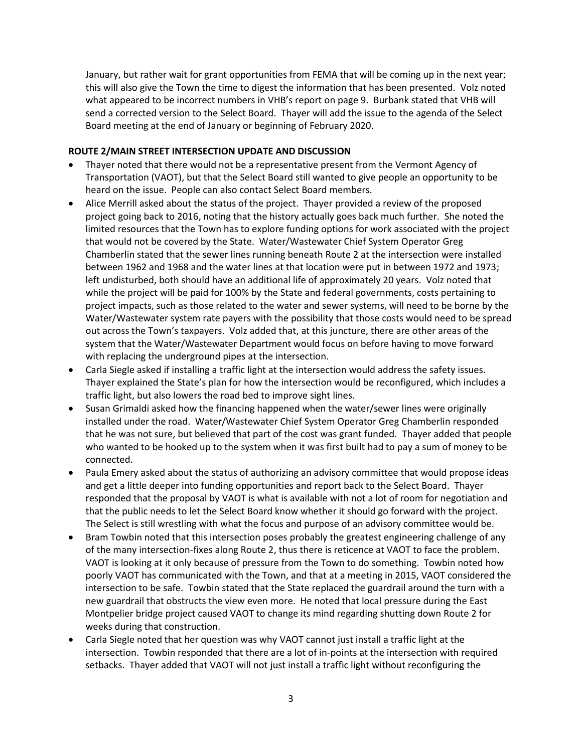January, but rather wait for grant opportunities from FEMA that will be coming up in the next year; this will also give the Town the time to digest the information that has been presented. Volz noted what appeared to be incorrect numbers in VHB's report on page 9. Burbank stated that VHB will send a corrected version to the Select Board. Thayer will add the issue to the agenda of the Select Board meeting at the end of January or beginning of February 2020.

#### **ROUTE 2/MAIN STREET INTERSECTION UPDATE AND DISCUSSION**

- Thayer noted that there would not be a representative present from the Vermont Agency of Transportation (VAOT), but that the Select Board still wanted to give people an opportunity to be heard on the issue. People can also contact Select Board members.
- Alice Merrill asked about the status of the project. Thayer provided a review of the proposed project going back to 2016, noting that the history actually goes back much further. She noted the limited resources that the Town has to explore funding options for work associated with the project that would not be covered by the State. Water/Wastewater Chief System Operator Greg Chamberlin stated that the sewer lines running beneath Route 2 at the intersection were installed between 1962 and 1968 and the water lines at that location were put in between 1972 and 1973; left undisturbed, both should have an additional life of approximately 20 years. Volz noted that while the project will be paid for 100% by the State and federal governments, costs pertaining to project impacts, such as those related to the water and sewer systems, will need to be borne by the Water/Wastewater system rate payers with the possibility that those costs would need to be spread out across the Town's taxpayers. Volz added that, at this juncture, there are other areas of the system that the Water/Wastewater Department would focus on before having to move forward with replacing the underground pipes at the intersection.
- Carla Siegle asked if installing a traffic light at the intersection would address the safety issues. Thayer explained the State's plan for how the intersection would be reconfigured, which includes a traffic light, but also lowers the road bed to improve sight lines.
- Susan Grimaldi asked how the financing happened when the water/sewer lines were originally installed under the road. Water/Wastewater Chief System Operator Greg Chamberlin responded that he was not sure, but believed that part of the cost was grant funded. Thayer added that people who wanted to be hooked up to the system when it was first built had to pay a sum of money to be connected.
- Paula Emery asked about the status of authorizing an advisory committee that would propose ideas and get a little deeper into funding opportunities and report back to the Select Board. Thayer responded that the proposal by VAOT is what is available with not a lot of room for negotiation and that the public needs to let the Select Board know whether it should go forward with the project. The Select is still wrestling with what the focus and purpose of an advisory committee would be.
- Bram Towbin noted that this intersection poses probably the greatest engineering challenge of any of the many intersection-fixes along Route 2, thus there is reticence at VAOT to face the problem. VAOT is looking at it only because of pressure from the Town to do something. Towbin noted how poorly VAOT has communicated with the Town, and that at a meeting in 2015, VAOT considered the intersection to be safe. Towbin stated that the State replaced the guardrail around the turn with a new guardrail that obstructs the view even more. He noted that local pressure during the East Montpelier bridge project caused VAOT to change its mind regarding shutting down Route 2 for weeks during that construction.
- Carla Siegle noted that her question was why VAOT cannot just install a traffic light at the intersection. Towbin responded that there are a lot of in-points at the intersection with required setbacks. Thayer added that VAOT will not just install a traffic light without reconfiguring the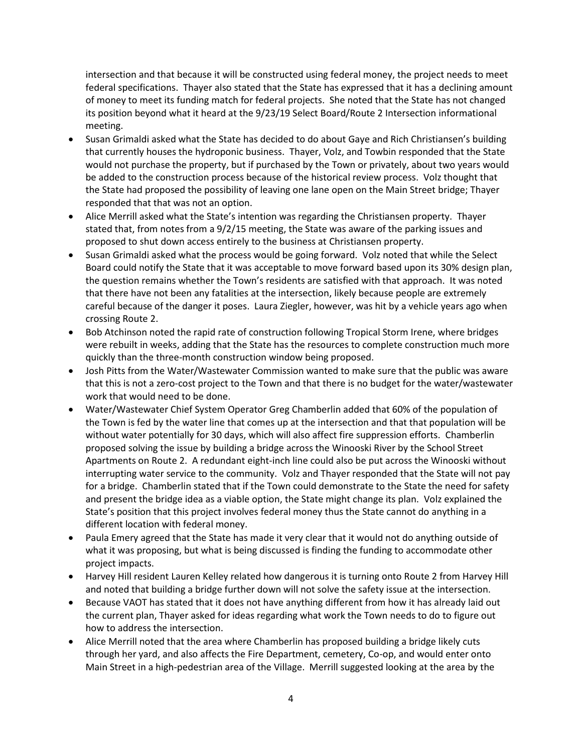intersection and that because it will be constructed using federal money, the project needs to meet federal specifications. Thayer also stated that the State has expressed that it has a declining amount of money to meet its funding match for federal projects. She noted that the State has not changed its position beyond what it heard at the 9/23/19 Select Board/Route 2 Intersection informational meeting.

- Susan Grimaldi asked what the State has decided to do about Gaye and Rich Christiansen's building that currently houses the hydroponic business. Thayer, Volz, and Towbin responded that the State would not purchase the property, but if purchased by the Town or privately, about two years would be added to the construction process because of the historical review process. Volz thought that the State had proposed the possibility of leaving one lane open on the Main Street bridge; Thayer responded that that was not an option.
- Alice Merrill asked what the State's intention was regarding the Christiansen property. Thayer stated that, from notes from a 9/2/15 meeting, the State was aware of the parking issues and proposed to shut down access entirely to the business at Christiansen property.
- Susan Grimaldi asked what the process would be going forward. Volz noted that while the Select Board could notify the State that it was acceptable to move forward based upon its 30% design plan, the question remains whether the Town's residents are satisfied with that approach. It was noted that there have not been any fatalities at the intersection, likely because people are extremely careful because of the danger it poses. Laura Ziegler, however, was hit by a vehicle years ago when crossing Route 2.
- Bob Atchinson noted the rapid rate of construction following Tropical Storm Irene, where bridges were rebuilt in weeks, adding that the State has the resources to complete construction much more quickly than the three-month construction window being proposed.
- Josh Pitts from the Water/Wastewater Commission wanted to make sure that the public was aware that this is not a zero-cost project to the Town and that there is no budget for the water/wastewater work that would need to be done.
- Water/Wastewater Chief System Operator Greg Chamberlin added that 60% of the population of the Town is fed by the water line that comes up at the intersection and that that population will be without water potentially for 30 days, which will also affect fire suppression efforts. Chamberlin proposed solving the issue by building a bridge across the Winooski River by the School Street Apartments on Route 2. A redundant eight-inch line could also be put across the Winooski without interrupting water service to the community. Volz and Thayer responded that the State will not pay for a bridge. Chamberlin stated that if the Town could demonstrate to the State the need for safety and present the bridge idea as a viable option, the State might change its plan. Volz explained the State's position that this project involves federal money thus the State cannot do anything in a different location with federal money.
- Paula Emery agreed that the State has made it very clear that it would not do anything outside of what it was proposing, but what is being discussed is finding the funding to accommodate other project impacts.
- Harvey Hill resident Lauren Kelley related how dangerous it is turning onto Route 2 from Harvey Hill and noted that building a bridge further down will not solve the safety issue at the intersection.
- Because VAOT has stated that it does not have anything different from how it has already laid out the current plan, Thayer asked for ideas regarding what work the Town needs to do to figure out how to address the intersection.
- Alice Merrill noted that the area where Chamberlin has proposed building a bridge likely cuts through her yard, and also affects the Fire Department, cemetery, Co-op, and would enter onto Main Street in a high-pedestrian area of the Village. Merrill suggested looking at the area by the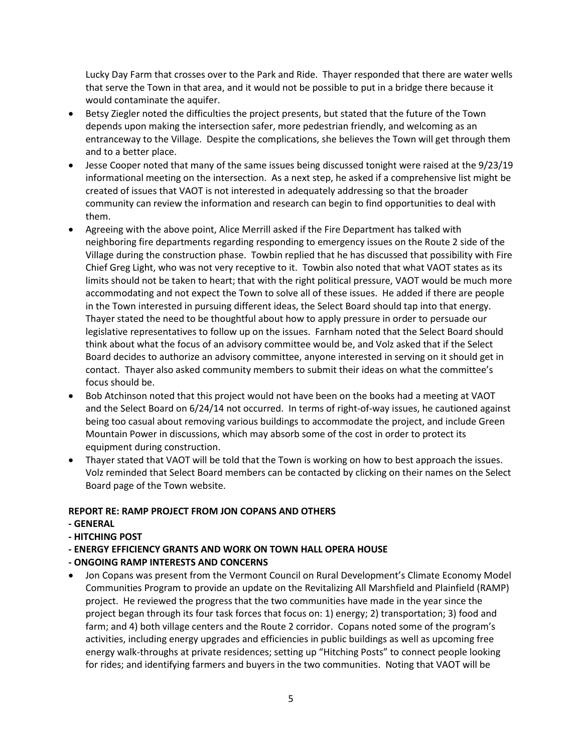Lucky Day Farm that crosses over to the Park and Ride. Thayer responded that there are water wells that serve the Town in that area, and it would not be possible to put in a bridge there because it would contaminate the aquifer.

- Betsy Ziegler noted the difficulties the project presents, but stated that the future of the Town depends upon making the intersection safer, more pedestrian friendly, and welcoming as an entranceway to the Village. Despite the complications, she believes the Town will get through them and to a better place.
- Jesse Cooper noted that many of the same issues being discussed tonight were raised at the 9/23/19 informational meeting on the intersection. As a next step, he asked if a comprehensive list might be created of issues that VAOT is not interested in adequately addressing so that the broader community can review the information and research can begin to find opportunities to deal with them.
- Agreeing with the above point, Alice Merrill asked if the Fire Department has talked with neighboring fire departments regarding responding to emergency issues on the Route 2 side of the Village during the construction phase. Towbin replied that he has discussed that possibility with Fire Chief Greg Light, who was not very receptive to it. Towbin also noted that what VAOT states as its limits should not be taken to heart; that with the right political pressure, VAOT would be much more accommodating and not expect the Town to solve all of these issues. He added if there are people in the Town interested in pursuing different ideas, the Select Board should tap into that energy. Thayer stated the need to be thoughtful about how to apply pressure in order to persuade our legislative representatives to follow up on the issues. Farnham noted that the Select Board should think about what the focus of an advisory committee would be, and Volz asked that if the Select Board decides to authorize an advisory committee, anyone interested in serving on it should get in contact. Thayer also asked community members to submit their ideas on what the committee's focus should be.
- Bob Atchinson noted that this project would not have been on the books had a meeting at VAOT and the Select Board on 6/24/14 not occurred. In terms of right-of-way issues, he cautioned against being too casual about removing various buildings to accommodate the project, and include Green Mountain Power in discussions, which may absorb some of the cost in order to protect its equipment during construction.
- Thayer stated that VAOT will be told that the Town is working on how to best approach the issues. Volz reminded that Select Board members can be contacted by clicking on their names on the Select Board page of the Town website.

# **REPORT RE: RAMP PROJECT FROM JON COPANS AND OTHERS**

- **- GENERAL**
- **- HITCHING POST**
- **- ENERGY EFFICIENCY GRANTS AND WORK ON TOWN HALL OPERA HOUSE**
- **- ONGOING RAMP INTERESTS AND CONCERNS**
- Jon Copans was present from the Vermont Council on Rural Development's Climate Economy Model Communities Program to provide an update on the Revitalizing All Marshfield and Plainfield (RAMP) project. He reviewed the progress that the two communities have made in the year since the project began through its four task forces that focus on: 1) energy; 2) transportation; 3) food and farm; and 4) both village centers and the Route 2 corridor. Copans noted some of the program's activities, including energy upgrades and efficiencies in public buildings as well as upcoming free energy walk-throughs at private residences; setting up "Hitching Posts" to connect people looking for rides; and identifying farmers and buyers in the two communities. Noting that VAOT will be